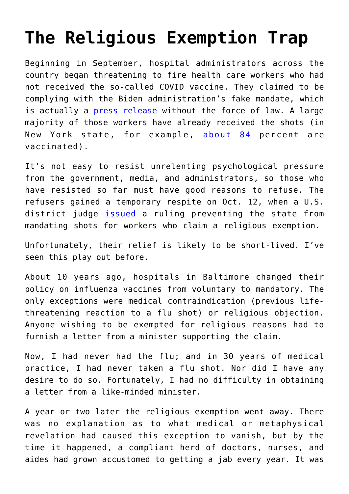## **[The Religious Exemption Trap](https://intellectualtakeout.org/2021/10/the-religious-exemption-trap/)**

Beginning in September, hospital administrators across the country began threatening to fire health care workers who had not received the so-called COVID vaccine. They claimed to be complying with the Biden administration's fake mandate, which is actually a **[press release](https://thefederalist.com/2021/10/07/joe-bidens-vaccine-mandate-doesnt-exist-its-just-a-press-release/)** without the force of law. A large majority of those workers have already received the shots (in New York state, for example, [about 84](https://news.yahoo.com/yorks-covid-vaccine-mandate-health-161930601.html?fr=yhssrp_catchall) percent are vaccinated).

It's not easy to resist unrelenting psychological pressure from the government, media, and administrators, so those who have resisted so far must have good reasons to refuse. The refusers gained a temporary respite on Oct. 12, when a U.S. district judge [issued](https://www.reuters.com/world/us/new-york-must-allow-religious-exemptions-covid-19-vaccine-mandate-judge-rules-2021-10-12/) a ruling preventing the state from mandating shots for workers who claim a religious exemption.

Unfortunately, their relief is likely to be short-lived. I've seen this play out before.

About 10 years ago, hospitals in Baltimore changed their policy on influenza vaccines from voluntary to mandatory. The only exceptions were medical contraindication (previous lifethreatening reaction to a flu shot) or religious objection. Anyone wishing to be exempted for religious reasons had to furnish a letter from a minister supporting the claim.

Now, I had never had the flu; and in 30 years of medical practice, I had never taken a flu shot. Nor did I have any desire to do so. Fortunately, I had no difficulty in obtaining a letter from a like-minded minister.

A year or two later the religious exemption went away. There was no explanation as to what medical or metaphysical revelation had caused this exception to vanish, but by the time it happened, a compliant herd of doctors, nurses, and aides had grown accustomed to getting a jab every year. It was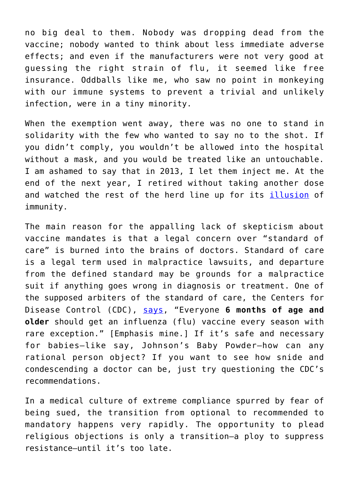no big deal to them. Nobody was dropping dead from the vaccine; nobody wanted to think about less immediate adverse effects; and even if the manufacturers were not very good at guessing the right strain of flu, it seemed like free insurance. Oddballs like me, who saw no point in monkeying with our immune systems to prevent a trivial and unlikely infection, were in a tiny minority.

When the exemption went away, there was no one to stand in solidarity with the few who wanted to say no to the shot. If you didn't comply, you wouldn't be allowed into the hospital without a mask, and you would be treated like an untouchable. I am ashamed to say that in 2013, I let them inject me. At the end of the next year, I retired without taking another dose and watched the rest of the herd line up for its [illusion](https://www.science.org/content/article/why-flu-vaccines-so-often-fail) of immunity.

The main reason for the appalling lack of skepticism about vaccine mandates is that a legal concern over "standard of care" is burned into the brains of doctors. Standard of care is a legal term used in malpractice lawsuits, and departure from the defined standard may be grounds for a malpractice suit if anything goes wrong in diagnosis or treatment. One of the supposed arbiters of the standard of care, the Centers for Disease Control (CDC), [says,](https://www.cdc.gov/flu/prevent/keyfacts.htm) "Everyone **6 months of age and older** should get an influenza (flu) vaccine every season with rare exception." [Emphasis mine.] If it's safe and necessary for babies—like say, Johnson's Baby Powder—how can any rational person object? If you want to see how snide and condescending a doctor can be, just try questioning the CDC's recommendations.

In a medical culture of extreme compliance spurred by fear of being sued, the transition from optional to recommended to mandatory happens very rapidly. The opportunity to plead religious objections is only a transition—a ploy to suppress resistance—until it's too late.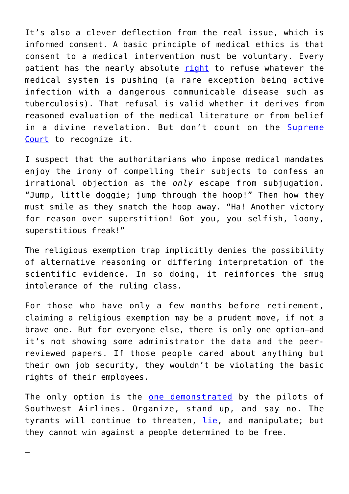It's also a clever deflection from the real issue, which is informed consent. A basic principle of medical ethics is that consent to a medical intervention must be voluntary. Every patient has the nearly absolute [right](https://www.fda.gov/regulatory-information/search-fda-guidance-documents/informed-consent#exceptions) to refuse whatever the medical system is pushing (a rare exception being active infection with a dangerous communicable disease such as tuberculosis). That refusal is valid whether it derives from reasoned evaluation of the medical literature or from belief in a divine revelation. But don't count on the [Supreme](https://www.reuters.com/world/us/us-supreme-court-justice-rejects-challenge-maine-covid-19-vaccine-mandate-2021-10-19/) [Court](https://www.reuters.com/world/us/us-supreme-court-justice-rejects-challenge-maine-covid-19-vaccine-mandate-2021-10-19/) to recognize it.

I suspect that the authoritarians who impose medical mandates enjoy the irony of compelling their subjects to confess an irrational objection as the *only* escape from subjugation. "Jump, little doggie; jump through the hoop!" Then how they must smile as they snatch the hoop away. "Ha! Another victory for reason over superstition! Got you, you selfish, loony, superstitious freak!"

The religious exemption trap implicitly denies the possibility of alternative reasoning or differing interpretation of the scientific evidence. In so doing, it reinforces the smug intolerance of the ruling class.

For those who have only a few months before retirement, claiming a religious exemption may be a prudent move, if not a brave one. But for everyone else, there is only one option—and it's not showing some administrator the data and the peerreviewed papers. If those people cared about anything but their own job security, they wouldn't be violating the basic rights of their employees.

The only option is the [one demonstrated](https://www.cnbc.com/2021/10/19/southwest-vaccine-mandate-unpaid-leave-exemptions.html) by the pilots of Southwest Airlines. Organize, stand up, and say no. The tyrants will continue to threaten, [lie](https://www.dallasnews.com/business/airlines/2021/10/11/southwest-airlines-union-says-pilots-did-not-walk-out-to-protest-vaccine-mandates/), and manipulate; but they cannot win against a people determined to be free.

—